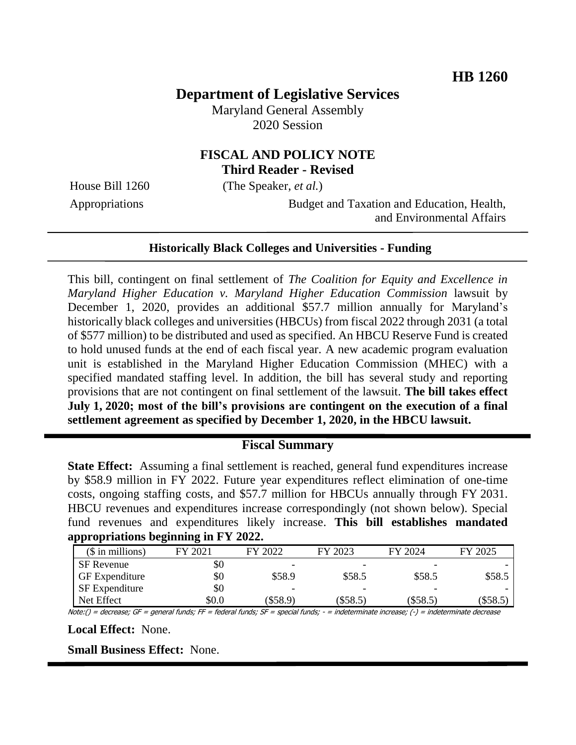# **Department of Legislative Services**

Maryland General Assembly 2020 Session

## **FISCAL AND POLICY NOTE Third Reader - Revised**

House Bill 1260 (The Speaker, *et al.*)

Appropriations Budget and Taxation and Education, Health, and Environmental Affairs

#### **Historically Black Colleges and Universities - Funding**

This bill, contingent on final settlement of *The Coalition for Equity and Excellence in Maryland Higher Education v. Maryland Higher Education Commission* lawsuit by December 1, 2020, provides an additional \$57.7 million annually for Maryland's historically black colleges and universities (HBCUs) from fiscal 2022 through 2031 (a total of \$577 million) to be distributed and used as specified. An HBCU Reserve Fund is created to hold unused funds at the end of each fiscal year. A new academic program evaluation unit is established in the Maryland Higher Education Commission (MHEC) with a specified mandated staffing level. In addition, the bill has several study and reporting provisions that are not contingent on final settlement of the lawsuit. **The bill takes effect July 1, 2020; most of the bill's provisions are contingent on the execution of a final settlement agreement as specified by December 1, 2020, in the HBCU lawsuit.**

### **Fiscal Summary**

**State Effect:** Assuming a final settlement is reached, general fund expenditures increase by \$58.9 million in FY 2022. Future year expenditures reflect elimination of one-time costs, ongoing staffing costs, and \$57.7 million for HBCUs annually through FY 2031. HBCU revenues and expenditures increase correspondingly (not shown below). Special fund revenues and expenditures likely increase. **This bill establishes mandated appropriations beginning in FY 2022.**

| $($$ in millions)     | FY 2021 | FY 2022  | FY 2023                  | FY 2024  | FY 2025    |
|-----------------------|---------|----------|--------------------------|----------|------------|
| <b>SF</b> Revenue     | \$0     |          |                          |          |            |
| <b>GF</b> Expenditure | \$0     | \$58.9   | \$58.5                   | \$58.5   | \$58.5     |
| <b>SF</b> Expenditure | \$0     |          | $\overline{\phantom{0}}$ | -        |            |
| Net Effect            | \$0.0   | (\$58.9) | (S58.5)                  | (\$58.5) | $(\$58.5)$ |

Note:() = decrease; GF = general funds; FF = federal funds; SF = special funds; - = indeterminate increase; (-) = indeterminate decrease

**Local Effect:** None.

**Small Business Effect:** None.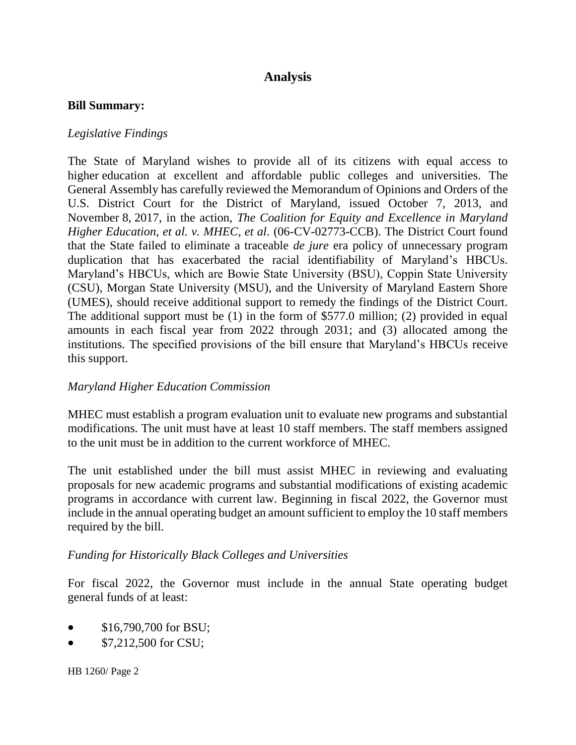## **Analysis**

#### **Bill Summary:**

#### *Legislative Findings*

The State of Maryland wishes to provide all of its citizens with equal access to higher education at excellent and affordable public colleges and universities. The General Assembly has carefully reviewed the Memorandum of Opinions and Orders of the U.S. District Court for the District of Maryland, issued October 7, 2013, and November 8, 2017, in the action, *The Coalition for Equity and Excellence in Maryland Higher Education, et al. v. MHEC, et al.* (06-CV-02773-CCB). The District Court found that the State failed to eliminate a traceable *de jure* era policy of unnecessary program duplication that has exacerbated the racial identifiability of Maryland's HBCUs. Maryland's HBCUs, which are Bowie State University (BSU), Coppin State University (CSU), Morgan State University (MSU), and the University of Maryland Eastern Shore (UMES), should receive additional support to remedy the findings of the District Court. The additional support must be (1) in the form of \$577.0 million; (2) provided in equal amounts in each fiscal year from 2022 through 2031; and (3) allocated among the institutions. The specified provisions of the bill ensure that Maryland's HBCUs receive this support.

#### *Maryland Higher Education Commission*

MHEC must establish a program evaluation unit to evaluate new programs and substantial modifications. The unit must have at least 10 staff members. The staff members assigned to the unit must be in addition to the current workforce of MHEC.

The unit established under the bill must assist MHEC in reviewing and evaluating proposals for new academic programs and substantial modifications of existing academic programs in accordance with current law. Beginning in fiscal 2022, the Governor must include in the annual operating budget an amount sufficient to employ the 10 staff members required by the bill.

#### *Funding for Historically Black Colleges and Universities*

For fiscal 2022, the Governor must include in the annual State operating budget general funds of at least:

- \$16,790,700 for BSU;
- $\bullet$  \$7,212,500 for CSU;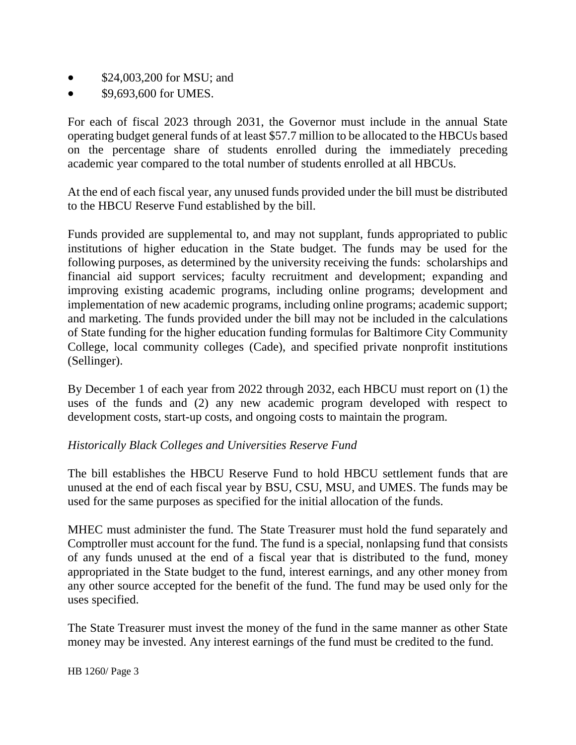- \$24,003,200 for MSU; and
- \$9,693,600 for UMES.

For each of fiscal 2023 through 2031, the Governor must include in the annual State operating budget general funds of at least \$57.7 million to be allocated to the HBCUs based on the percentage share of students enrolled during the immediately preceding academic year compared to the total number of students enrolled at all HBCUs.

At the end of each fiscal year, any unused funds provided under the bill must be distributed to the HBCU Reserve Fund established by the bill.

Funds provided are supplemental to, and may not supplant, funds appropriated to public institutions of higher education in the State budget. The funds may be used for the following purposes, as determined by the university receiving the funds: scholarships and financial aid support services; faculty recruitment and development; expanding and improving existing academic programs, including online programs; development and implementation of new academic programs, including online programs; academic support; and marketing. The funds provided under the bill may not be included in the calculations of State funding for the higher education funding formulas for Baltimore City Community College, local community colleges (Cade), and specified private nonprofit institutions (Sellinger).

By December 1 of each year from 2022 through 2032, each HBCU must report on (1) the uses of the funds and (2) any new academic program developed with respect to development costs, start-up costs, and ongoing costs to maintain the program.

### *Historically Black Colleges and Universities Reserve Fund*

The bill establishes the HBCU Reserve Fund to hold HBCU settlement funds that are unused at the end of each fiscal year by BSU, CSU, MSU, and UMES. The funds may be used for the same purposes as specified for the initial allocation of the funds.

MHEC must administer the fund. The State Treasurer must hold the fund separately and Comptroller must account for the fund. The fund is a special, nonlapsing fund that consists of any funds unused at the end of a fiscal year that is distributed to the fund, money appropriated in the State budget to the fund, interest earnings, and any other money from any other source accepted for the benefit of the fund. The fund may be used only for the uses specified.

The State Treasurer must invest the money of the fund in the same manner as other State money may be invested. Any interest earnings of the fund must be credited to the fund.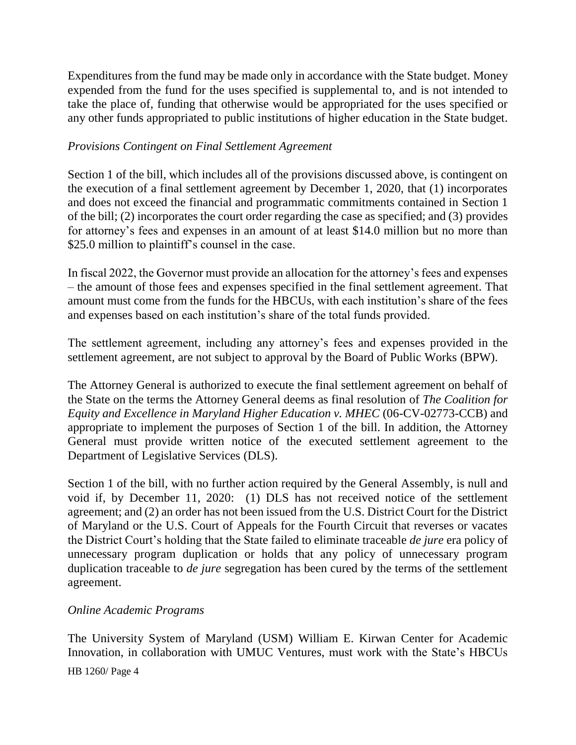Expenditures from the fund may be made only in accordance with the State budget. Money expended from the fund for the uses specified is supplemental to, and is not intended to take the place of, funding that otherwise would be appropriated for the uses specified or any other funds appropriated to public institutions of higher education in the State budget.

### *Provisions Contingent on Final Settlement Agreement*

Section 1 of the bill, which includes all of the provisions discussed above, is contingent on the execution of a final settlement agreement by December 1, 2020, that (1) incorporates and does not exceed the financial and programmatic commitments contained in Section 1 of the bill; (2) incorporates the court order regarding the case as specified; and (3) provides for attorney's fees and expenses in an amount of at least \$14.0 million but no more than \$25.0 million to plaintiff's counsel in the case.

In fiscal 2022, the Governor must provide an allocation for the attorney's fees and expenses – the amount of those fees and expenses specified in the final settlement agreement. That amount must come from the funds for the HBCUs, with each institution's share of the fees and expenses based on each institution's share of the total funds provided.

The settlement agreement, including any attorney's fees and expenses provided in the settlement agreement, are not subject to approval by the Board of Public Works (BPW).

The Attorney General is authorized to execute the final settlement agreement on behalf of the State on the terms the Attorney General deems as final resolution of *The Coalition for Equity and Excellence in Maryland Higher Education v. MHEC* (06-CV-02773-CCB) and appropriate to implement the purposes of Section 1 of the bill. In addition, the Attorney General must provide written notice of the executed settlement agreement to the Department of Legislative Services (DLS).

Section 1 of the bill, with no further action required by the General Assembly, is null and void if, by December 11, 2020: (1) DLS has not received notice of the settlement agreement; and (2) an order has not been issued from the U.S. District Court for the District of Maryland or the U.S. Court of Appeals for the Fourth Circuit that reverses or vacates the District Court's holding that the State failed to eliminate traceable *de jure* era policy of unnecessary program duplication or holds that any policy of unnecessary program duplication traceable to *de jure* segregation has been cured by the terms of the settlement agreement.

### *Online Academic Programs*

The University System of Maryland (USM) William E. Kirwan Center for Academic Innovation, in collaboration with UMUC Ventures, must work with the State's HBCUs

HB 1260/ Page 4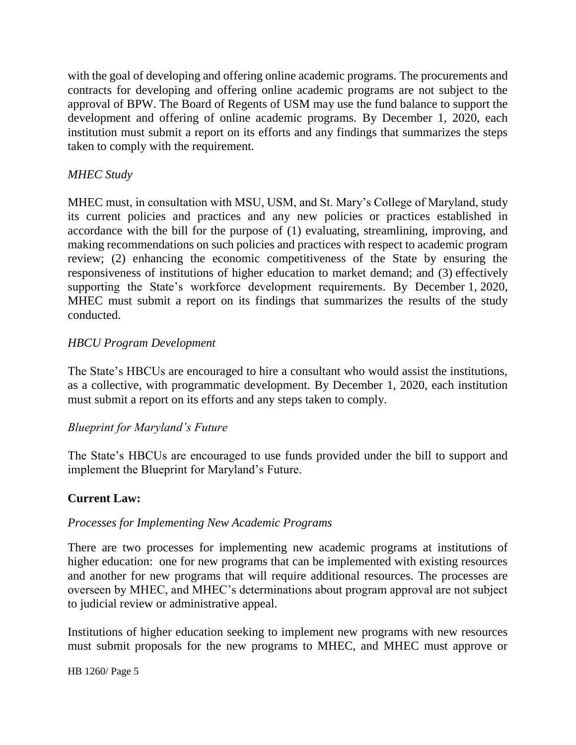with the goal of developing and offering online academic programs. The procurements and contracts for developing and offering online academic programs are not subject to the approval of BPW. The Board of Regents of USM may use the fund balance to support the development and offering of online academic programs. By December 1, 2020, each institution must submit a report on its efforts and any findings that summarizes the steps taken to comply with the requirement.

### *MHEC Study*

MHEC must, in consultation with MSU, USM, and St. Mary's College of Maryland, study its current policies and practices and any new policies or practices established in accordance with the bill for the purpose of (1) evaluating, streamlining, improving, and making recommendations on such policies and practices with respect to academic program review; (2) enhancing the economic competitiveness of the State by ensuring the responsiveness of institutions of higher education to market demand; and (3) effectively supporting the State's workforce development requirements. By December 1, 2020, MHEC must submit a report on its findings that summarizes the results of the study conducted.

### *HBCU Program Development*

The State's HBCUs are encouraged to hire a consultant who would assist the institutions, as a collective, with programmatic development. By December 1, 2020, each institution must submit a report on its efforts and any steps taken to comply.

### *Blueprint for Maryland's Future*

The State's HBCUs are encouraged to use funds provided under the bill to support and implement the Blueprint for Maryland's Future.

### **Current Law:**

### *Processes for Implementing New Academic Programs*

There are two processes for implementing new academic programs at institutions of higher education: one for new programs that can be implemented with existing resources and another for new programs that will require additional resources. The processes are overseen by MHEC, and MHEC's determinations about program approval are not subject to judicial review or administrative appeal.

Institutions of higher education seeking to implement new programs with new resources must submit proposals for the new programs to MHEC, and MHEC must approve or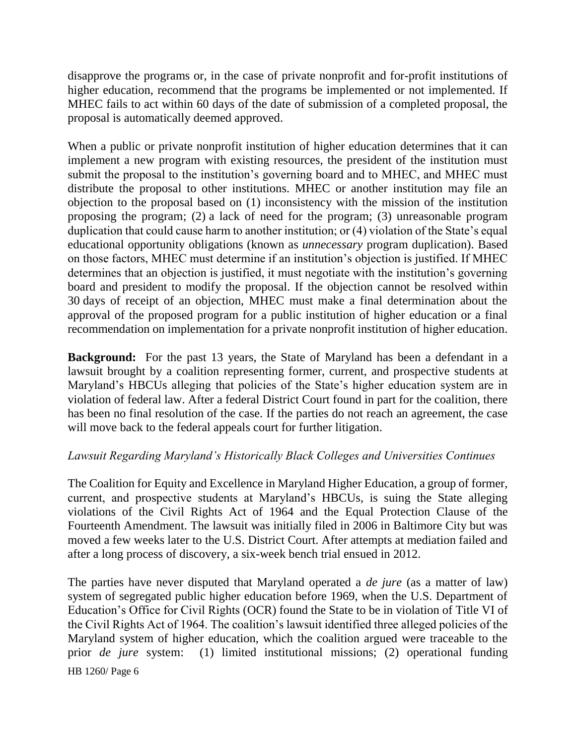disapprove the programs or, in the case of private nonprofit and for-profit institutions of higher education, recommend that the programs be implemented or not implemented. If MHEC fails to act within 60 days of the date of submission of a completed proposal, the proposal is automatically deemed approved.

When a public or private nonprofit institution of higher education determines that it can implement a new program with existing resources, the president of the institution must submit the proposal to the institution's governing board and to MHEC, and MHEC must distribute the proposal to other institutions. MHEC or another institution may file an objection to the proposal based on (1) inconsistency with the mission of the institution proposing the program; (2) a lack of need for the program; (3) unreasonable program duplication that could cause harm to another institution; or (4) violation of the State's equal educational opportunity obligations (known as *unnecessary* program duplication). Based on those factors, MHEC must determine if an institution's objection is justified. If MHEC determines that an objection is justified, it must negotiate with the institution's governing board and president to modify the proposal. If the objection cannot be resolved within 30 days of receipt of an objection, MHEC must make a final determination about the approval of the proposed program for a public institution of higher education or a final recommendation on implementation for a private nonprofit institution of higher education.

**Background:** For the past 13 years, the State of Maryland has been a defendant in a lawsuit brought by a coalition representing former, current, and prospective students at Maryland's HBCUs alleging that policies of the State's higher education system are in violation of federal law. After a federal District Court found in part for the coalition, there has been no final resolution of the case. If the parties do not reach an agreement, the case will move back to the federal appeals court for further litigation.

### *Lawsuit Regarding Maryland's Historically Black Colleges and Universities Continues*

The Coalition for Equity and Excellence in Maryland Higher Education, a group of former, current, and prospective students at Maryland's HBCUs, is suing the State alleging violations of the Civil Rights Act of 1964 and the Equal Protection Clause of the Fourteenth Amendment. The lawsuit was initially filed in 2006 in Baltimore City but was moved a few weeks later to the U.S. District Court. After attempts at mediation failed and after a long process of discovery, a six-week bench trial ensued in 2012.

HB 1260/ Page 6 The parties have never disputed that Maryland operated a *de jure* (as a matter of law) system of segregated public higher education before 1969, when the U.S. Department of Education's Office for Civil Rights (OCR) found the State to be in violation of Title VI of the Civil Rights Act of 1964. The coalition's lawsuit identified three alleged policies of the Maryland system of higher education, which the coalition argued were traceable to the prior *de jure* system: (1) limited institutional missions; (2) operational funding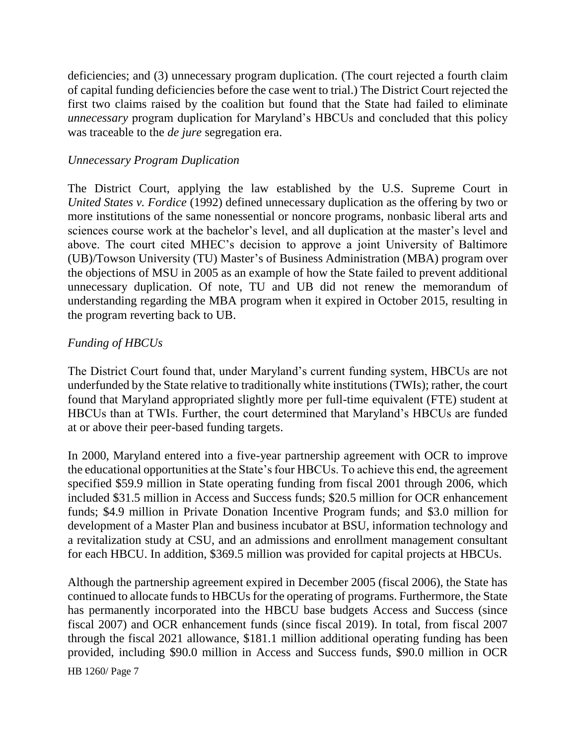deficiencies; and (3) unnecessary program duplication. (The court rejected a fourth claim of capital funding deficiencies before the case went to trial.) The District Court rejected the first two claims raised by the coalition but found that the State had failed to eliminate *unnecessary* program duplication for Maryland's HBCUs and concluded that this policy was traceable to the *de jure* segregation era.

### *Unnecessary Program Duplication*

The District Court, applying the law established by the U.S. Supreme Court in *United States v. Fordice* (1992) defined unnecessary duplication as the offering by two or more institutions of the same nonessential or noncore programs, nonbasic liberal arts and sciences course work at the bachelor's level, and all duplication at the master's level and above. The court cited MHEC's decision to approve a joint University of Baltimore (UB)/Towson University (TU) Master's of Business Administration (MBA) program over the objections of MSU in 2005 as an example of how the State failed to prevent additional unnecessary duplication. Of note, TU and UB did not renew the memorandum of understanding regarding the MBA program when it expired in October 2015, resulting in the program reverting back to UB.

### *Funding of HBCUs*

The District Court found that, under Maryland's current funding system, HBCUs are not underfunded by the State relative to traditionally white institutions (TWIs); rather, the court found that Maryland appropriated slightly more per full-time equivalent (FTE) student at HBCUs than at TWIs. Further, the court determined that Maryland's HBCUs are funded at or above their peer-based funding targets.

In 2000, Maryland entered into a five-year partnership agreement with OCR to improve the educational opportunities at the State's four HBCUs. To achieve this end, the agreement specified \$59.9 million in State operating funding from fiscal 2001 through 2006, which included \$31.5 million in Access and Success funds; \$20.5 million for OCR enhancement funds; \$4.9 million in Private Donation Incentive Program funds; and \$3.0 million for development of a Master Plan and business incubator at BSU, information technology and a revitalization study at CSU, and an admissions and enrollment management consultant for each HBCU. In addition, \$369.5 million was provided for capital projects at HBCUs.

Although the partnership agreement expired in December 2005 (fiscal 2006), the State has continued to allocate funds to HBCUs for the operating of programs. Furthermore, the State has permanently incorporated into the HBCU base budgets Access and Success (since fiscal 2007) and OCR enhancement funds (since fiscal 2019). In total, from fiscal 2007 through the fiscal 2021 allowance, \$181.1 million additional operating funding has been provided, including \$90.0 million in Access and Success funds, \$90.0 million in OCR

HB 1260/ Page 7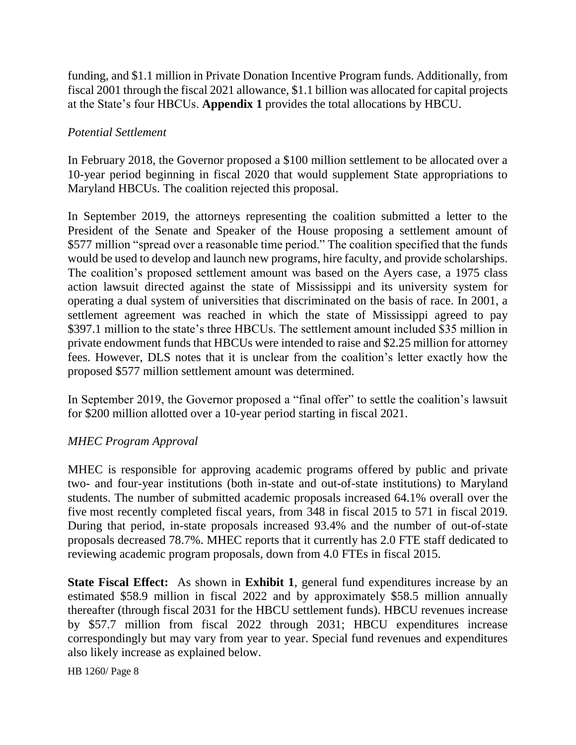funding, and \$1.1 million in Private Donation Incentive Program funds. Additionally, from fiscal 2001 through the fiscal 2021 allowance, \$1.1 billion was allocated for capital projects at the State's four HBCUs. **Appendix 1** provides the total allocations by HBCU.

#### *Potential Settlement*

In February 2018, the Governor proposed a \$100 million settlement to be allocated over a 10-year period beginning in fiscal 2020 that would supplement State appropriations to Maryland HBCUs. The coalition rejected this proposal.

In September 2019, the attorneys representing the coalition submitted a letter to the President of the Senate and Speaker of the House proposing a settlement amount of \$577 million "spread over a reasonable time period." The coalition specified that the funds would be used to develop and launch new programs, hire faculty, and provide scholarships. The coalition's proposed settlement amount was based on the Ayers case, a 1975 class action lawsuit directed against the state of Mississippi and its university system for operating a dual system of universities that discriminated on the basis of race. In 2001, a settlement agreement was reached in which the state of Mississippi agreed to pay \$397.1 million to the state's three HBCUs. The settlement amount included \$35 million in private endowment funds that HBCUs were intended to raise and \$2.25 million for attorney fees. However, DLS notes that it is unclear from the coalition's letter exactly how the proposed \$577 million settlement amount was determined.

In September 2019, the Governor proposed a "final offer" to settle the coalition's lawsuit for \$200 million allotted over a 10-year period starting in fiscal 2021.

### *MHEC Program Approval*

MHEC is responsible for approving academic programs offered by public and private two- and four-year institutions (both in-state and out-of-state institutions) to Maryland students. The number of submitted academic proposals increased 64.1% overall over the five most recently completed fiscal years, from 348 in fiscal 2015 to 571 in fiscal 2019. During that period, in-state proposals increased 93.4% and the number of out-of-state proposals decreased 78.7%. MHEC reports that it currently has 2.0 FTE staff dedicated to reviewing academic program proposals, down from 4.0 FTEs in fiscal 2015.

**State Fiscal Effect:** As shown in **Exhibit 1**, general fund expenditures increase by an estimated \$58.9 million in fiscal 2022 and by approximately \$58.5 million annually thereafter (through fiscal 2031 for the HBCU settlement funds). HBCU revenues increase by \$57.7 million from fiscal 2022 through 2031; HBCU expenditures increase correspondingly but may vary from year to year. Special fund revenues and expenditures also likely increase as explained below.

HB 1260/ Page 8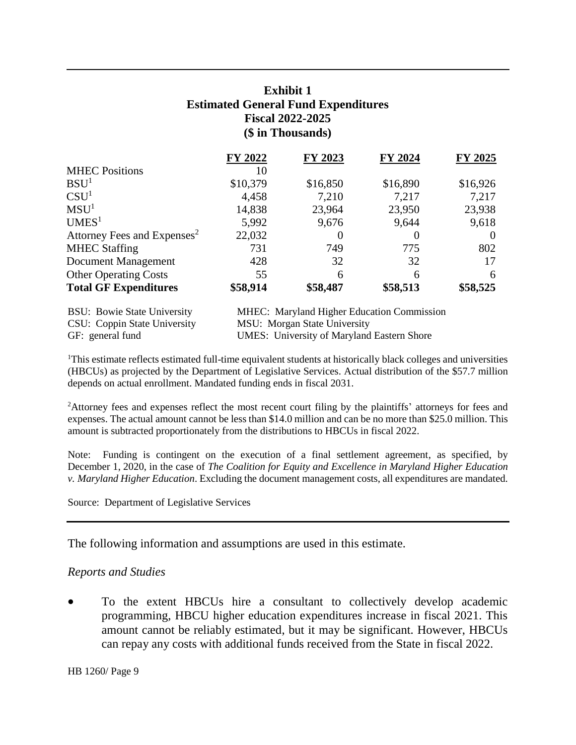## **Exhibit 1 Estimated General Fund Expenditures Fiscal 2022-2025 (\$ in Thousands)**

|                                         | FY 2022  | FY 2023  | FY 2024                                      | FY 2025  |
|-----------------------------------------|----------|----------|----------------------------------------------|----------|
| <b>MHEC Positions</b>                   | 10       |          |                                              |          |
| BSU <sup>1</sup>                        | \$10,379 | \$16,850 | \$16,890                                     | \$16,926 |
| CSU <sup>1</sup>                        | 4,458    | 7,210    | 7.217                                        | 7,217    |
| MSU <sup>1</sup>                        | 14,838   | 23,964   | 23,950                                       | 23,938   |
| UMES <sup>1</sup>                       | 5,992    | 9,676    | 9,644                                        | 9,618    |
| Attorney Fees and Expenses <sup>2</sup> | 22,032   |          | $\theta$                                     | $\Omega$ |
| <b>MHEC Staffing</b>                    | 731      | 749      | 775                                          | 802      |
| Document Management                     | 428      | 32       | 32                                           | 17       |
| <b>Other Operating Costs</b>            | 55       | 6        | 6                                            | 6        |
| <b>Total GF Expenditures</b>            | \$58,914 | \$58,487 | \$58,513                                     | \$58,525 |
| <b>BSU</b> : Bowie State University     |          |          | $MHFC+$ Maryland Higher Education Commission |          |

| <b>BSU:</b> Bowie State University | <b>MHEC:</b> Maryland Higher Education Commission |
|------------------------------------|---------------------------------------------------|
| CSU: Coppin State University       | MSU: Morgan State University                      |
| GF: general fund                   | <b>UMES:</b> University of Maryland Eastern Shore |

<sup>1</sup>This estimate reflects estimated full-time equivalent students at historically black colleges and universities (HBCUs) as projected by the Department of Legislative Services. Actual distribution of the \$57.7 million depends on actual enrollment. Mandated funding ends in fiscal 2031.

<sup>2</sup>Attorney fees and expenses reflect the most recent court filing by the plaintiffs' attorneys for fees and expenses. The actual amount cannot be less than \$14.0 million and can be no more than \$25.0 million. This amount is subtracted proportionately from the distributions to HBCUs in fiscal 2022.

Note: Funding is contingent on the execution of a final settlement agreement, as specified, by December 1, 2020, in the case of *The Coalition for Equity and Excellence in Maryland Higher Education v. Maryland Higher Education*. Excluding the document management costs, all expenditures are mandated.

Source: Department of Legislative Services

The following information and assumptions are used in this estimate.

#### *Reports and Studies*

 To the extent HBCUs hire a consultant to collectively develop academic programming, HBCU higher education expenditures increase in fiscal 2021. This amount cannot be reliably estimated, but it may be significant. However, HBCUs can repay any costs with additional funds received from the State in fiscal 2022.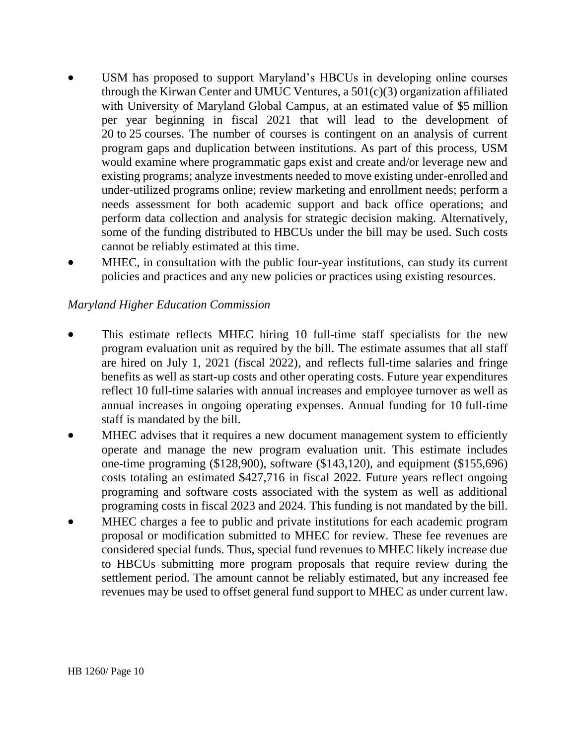- USM has proposed to support Maryland's HBCUs in developing online courses through the Kirwan Center and UMUC Ventures, a 501(c)(3) organization affiliated with University of Maryland Global Campus, at an estimated value of \$5 million per year beginning in fiscal 2021 that will lead to the development of 20 to 25 courses. The number of courses is contingent on an analysis of current program gaps and duplication between institutions. As part of this process, USM would examine where programmatic gaps exist and create and/or leverage new and existing programs; analyze investments needed to move existing under-enrolled and under-utilized programs online; review marketing and enrollment needs; perform a needs assessment for both academic support and back office operations; and perform data collection and analysis for strategic decision making. Alternatively, some of the funding distributed to HBCUs under the bill may be used. Such costs cannot be reliably estimated at this time.
- MHEC, in consultation with the public four-year institutions, can study its current policies and practices and any new policies or practices using existing resources.

### *Maryland Higher Education Commission*

- This estimate reflects MHEC hiring 10 full-time staff specialists for the new program evaluation unit as required by the bill. The estimate assumes that all staff are hired on July 1, 2021 (fiscal 2022), and reflects full-time salaries and fringe benefits as well as start-up costs and other operating costs. Future year expenditures reflect 10 full-time salaries with annual increases and employee turnover as well as annual increases in ongoing operating expenses. Annual funding for 10 full-time staff is mandated by the bill.
- MHEC advises that it requires a new document management system to efficiently operate and manage the new program evaluation unit. This estimate includes one-time programing (\$128,900), software (\$143,120), and equipment (\$155,696) costs totaling an estimated \$427,716 in fiscal 2022. Future years reflect ongoing programing and software costs associated with the system as well as additional programing costs in fiscal 2023 and 2024. This funding is not mandated by the bill.
- MHEC charges a fee to public and private institutions for each academic program proposal or modification submitted to MHEC for review. These fee revenues are considered special funds. Thus, special fund revenues to MHEC likely increase due to HBCUs submitting more program proposals that require review during the settlement period. The amount cannot be reliably estimated, but any increased fee revenues may be used to offset general fund support to MHEC as under current law.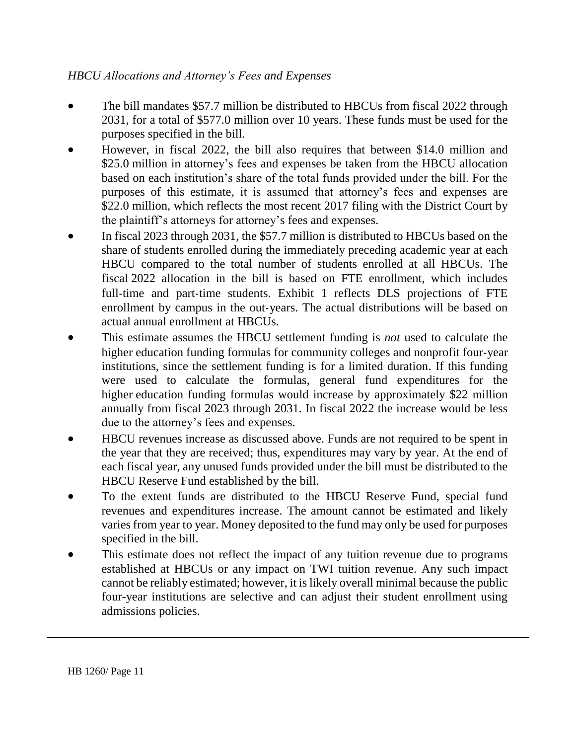## *HBCU Allocations and Attorney's Fees and Expenses*

- The bill mandates \$57.7 million be distributed to HBCUs from fiscal 2022 through 2031, for a total of \$577.0 million over 10 years. These funds must be used for the purposes specified in the bill.
- However, in fiscal 2022, the bill also requires that between \$14.0 million and \$25.0 million in attorney's fees and expenses be taken from the HBCU allocation based on each institution's share of the total funds provided under the bill. For the purposes of this estimate, it is assumed that attorney's fees and expenses are \$22.0 million, which reflects the most recent 2017 filing with the District Court by the plaintiff's attorneys for attorney's fees and expenses.
- In fiscal 2023 through 2031, the \$57.7 million is distributed to HBCUs based on the share of students enrolled during the immediately preceding academic year at each HBCU compared to the total number of students enrolled at all HBCUs. The fiscal 2022 allocation in the bill is based on FTE enrollment, which includes full-time and part-time students. Exhibit 1 reflects DLS projections of FTE enrollment by campus in the out-years. The actual distributions will be based on actual annual enrollment at HBCUs.
- This estimate assumes the HBCU settlement funding is *not* used to calculate the higher education funding formulas for community colleges and nonprofit four-year institutions, since the settlement funding is for a limited duration. If this funding were used to calculate the formulas, general fund expenditures for the higher education funding formulas would increase by approximately \$22 million annually from fiscal 2023 through 2031. In fiscal 2022 the increase would be less due to the attorney's fees and expenses.
- HBCU revenues increase as discussed above. Funds are not required to be spent in the year that they are received; thus, expenditures may vary by year. At the end of each fiscal year, any unused funds provided under the bill must be distributed to the HBCU Reserve Fund established by the bill.
- To the extent funds are distributed to the HBCU Reserve Fund, special fund revenues and expenditures increase. The amount cannot be estimated and likely varies from year to year. Money deposited to the fund may only be used for purposes specified in the bill.
- This estimate does not reflect the impact of any tuition revenue due to programs established at HBCUs or any impact on TWI tuition revenue. Any such impact cannot be reliably estimated; however, it is likely overall minimal because the public four-year institutions are selective and can adjust their student enrollment using admissions policies.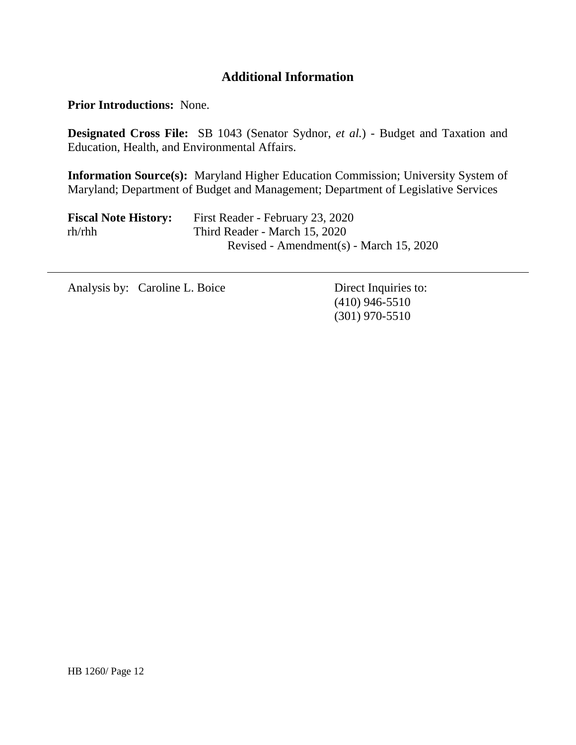## **Additional Information**

**Prior Introductions:** None.

**Designated Cross File:** SB 1043 (Senator Sydnor, *et al.*) - Budget and Taxation and Education, Health, and Environmental Affairs.

**Information Source(s):** Maryland Higher Education Commission; University System of Maryland; Department of Budget and Management; Department of Legislative Services

| <b>Fiscal Note History:</b>                    | First Reader - February 23, 2020        |
|------------------------------------------------|-----------------------------------------|
| $rh$ <sup>/rhh <math>\frac{rh}{h}</math></sup> | Third Reader - March 15, 2020           |
|                                                | Revised - Amendment(s) - March 15, 2020 |

Analysis by: Caroline L. Boice Direct Inquiries to:

(410) 946-5510 (301) 970-5510